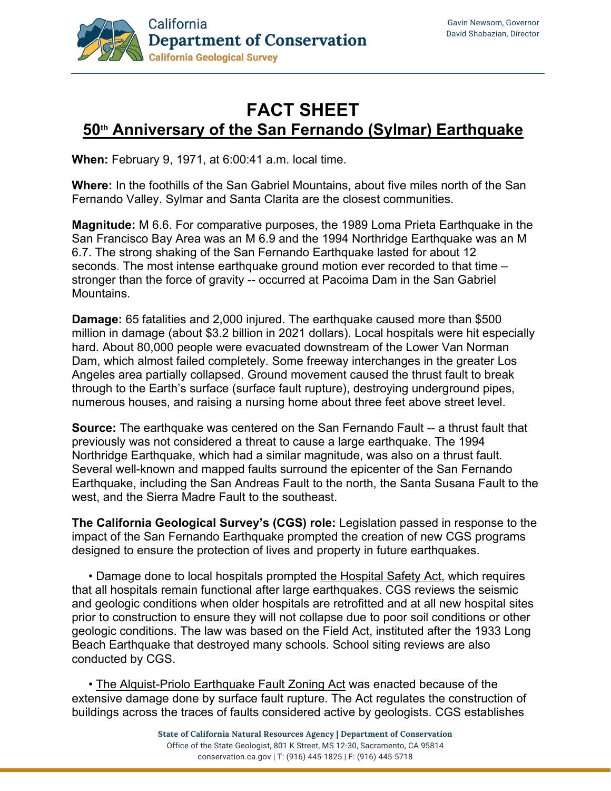

## **FACT SHEET 50th Anniversary of the San Fernando (Sylmar) Earthquake**

**When:** February 9, 1971, at 6:00:41 a.m. local time.

**Where:** In the foothills of the San Gabriel Mountains, about five miles north of the San Fernando Valley. Sylmar and Santa Clarita are the closest communities.

**Magnitude:** M 6.6. For comparative purposes, the 1989 Loma Prieta Earthquake in the San Francisco Bay Area was an M 6.9 and the 1994 Northridge Earthquake was an M 6.7. The strong shaking of the San Fernando Earthquake lasted for about 12 seconds. The most intense earthquake ground motion ever recorded to that time – stronger than the force of gravity -- occurred at Pacoima Dam in the San Gabriel Mountains.

**Damage:** 65 fatalities and 2,000 injured. The earthquake caused more than \$500 million in damage (about \$3.2 billion in 2021 dollars). Local hospitals were hit especially hard. About 80,000 people were evacuated downstream of the Lower Van Norman Dam, which almost failed completely. Some freeway interchanges in the greater Los Angeles area partially collapsed. Ground movement caused the thrust fault to break through to the Earth's surface (surface fault rupture), destroying underground pipes, numerous houses, and raising a nursing home about three feet above street level.

**Source:** The earthquake was centered on the San Fernando Fault -- a thrust fault that previously was not considered a threat to cause a large earthquake. The 1994 Northridge Earthquake, which had a similar magnitude, was also on a thrust fault. Several well-known and mapped faults surround the epicenter of the San Fernando Earthquake, including the San Andreas Fault to the north, the Santa Susana Fault to the west, and the Sierra Madre Fault to the southeast.

**The California Geological Survey's (CGS) role:** Legislation passed in response to the impact of the San Fernando Earthquake prompted the creation of new CGS programs designed to ensure the protection of lives and property in future earthquakes.

 • Damage done to local hospitals prompted the Hospital Safety Act, which requires that all hospitals remain functional after large earthquakes. CGS reviews the seismic and geologic conditions when older hospitals are retrofitted and at all new hospital sites prior to construction to ensure they will not collapse due to poor soil conditions or other geologic conditions. The law was based on the Field Act, instituted after the 1933 Long Beach Earthquake that destroyed many schools. School siting reviews are also conducted by CGS.

 • The Alquist-Priolo Earthquake Fault Zoning Act was enacted because of the extensive damage done by surface fault rupture. The Act regulates the construction of buildings across the traces of faults considered active by geologists. CGS establishes